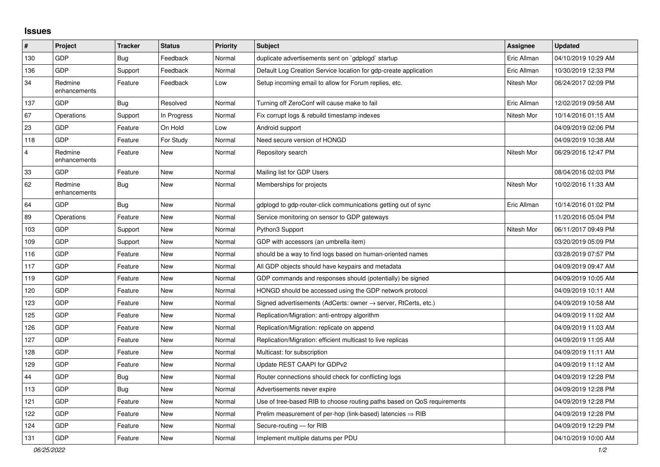## **Issues**

| #              | Project                 | <b>Tracker</b> | <b>Status</b> | <b>Priority</b> | <b>Subject</b>                                                             | Assignee    | <b>Updated</b>      |
|----------------|-------------------------|----------------|---------------|-----------------|----------------------------------------------------------------------------|-------------|---------------------|
| 130            | GDP                     | <b>Bug</b>     | Feedback      | Normal          | duplicate advertisements sent on `gdplogd` startup                         | Eric Allman | 04/10/2019 10:29 AM |
| 136            | <b>GDP</b>              | Support        | Feedback      | Normal          | Default Log Creation Service location for gdp-create application           | Eric Allman | 10/30/2019 12:33 PM |
| 34             | Redmine<br>enhancements | Feature        | Feedback      | Low             | Setup incoming email to allow for Forum replies, etc.                      | Nitesh Mor  | 06/24/2017 02:09 PM |
| 137            | <b>GDP</b>              | <b>Bug</b>     | Resolved      | Normal          | Turning off ZeroConf will cause make to fail                               | Eric Allman | 12/02/2019 09:58 AM |
| 67             | Operations              | Support        | In Progress   | Normal          | Fix corrupt logs & rebuild timestamp indexes                               | Nitesh Mor  | 10/14/2016 01:15 AM |
| 23             | GDP                     | Feature        | On Hold       | Low             | Android support                                                            |             | 04/09/2019 02:06 PM |
| 118            | GDP                     | Feature        | For Study     | Normal          | Need secure version of HONGD                                               |             | 04/09/2019 10:38 AM |
| $\overline{4}$ | Redmine<br>enhancements | Feature        | <b>New</b>    | Normal          | Repository search                                                          | Nitesh Mor  | 06/29/2016 12:47 PM |
| 33             | GDP                     | Feature        | <b>New</b>    | Normal          | Mailing list for GDP Users                                                 |             | 08/04/2016 02:03 PM |
| 62             | Redmine<br>enhancements | <b>Bug</b>     | <b>New</b>    | Normal          | Memberships for projects                                                   | Nitesh Mor  | 10/02/2016 11:33 AM |
| 64             | GDP                     | <b>Bug</b>     | <b>New</b>    | Normal          | gdplogd to gdp-router-click communications getting out of sync             | Eric Allman | 10/14/2016 01:02 PM |
| 89             | Operations              | Feature        | <b>New</b>    | Normal          | Service monitoring on sensor to GDP gateways                               |             | 11/20/2016 05:04 PM |
| 103            | GDP                     | Support        | <b>New</b>    | Normal          | Python3 Support                                                            | Nitesh Mor  | 06/11/2017 09:49 PM |
| 109            | <b>GDP</b>              | Support        | <b>New</b>    | Normal          | GDP with accessors (an umbrella item)                                      |             | 03/20/2019 05:09 PM |
| 116            | <b>GDP</b>              | Feature        | <b>New</b>    | Normal          | should be a way to find logs based on human-oriented names                 |             | 03/28/2019 07:57 PM |
| 117            | <b>GDP</b>              | Feature        | <b>New</b>    | Normal          | All GDP objects should have keypairs and metadata                          |             | 04/09/2019 09:47 AM |
| 119            | <b>GDP</b>              | Feature        | <b>New</b>    | Normal          | GDP commands and responses should (potentially) be signed                  |             | 04/09/2019 10:05 AM |
| 120            | GDP                     | Feature        | <b>New</b>    | Normal          | HONGD should be accessed using the GDP network protocol                    |             | 04/09/2019 10:11 AM |
| 123            | <b>GDP</b>              | Feature        | <b>New</b>    | Normal          | Signed advertisements (AdCerts: owner $\rightarrow$ server, RtCerts, etc.) |             | 04/09/2019 10:58 AM |
| 125            | GDP                     | Feature        | <b>New</b>    | Normal          | Replication/Migration: anti-entropy algorithm                              |             | 04/09/2019 11:02 AM |
| 126            | GDP                     | Feature        | New           | Normal          | Replication/Migration: replicate on append                                 |             | 04/09/2019 11:03 AM |
| 127            | GDP                     | Feature        | <b>New</b>    | Normal          | Replication/Migration: efficient multicast to live replicas                |             | 04/09/2019 11:05 AM |
| 128            | <b>GDP</b>              | Feature        | <b>New</b>    | Normal          | Multicast: for subscription                                                |             | 04/09/2019 11:11 AM |
| 129            | <b>GDP</b>              | Feature        | New           | Normal          | Update REST CAAPI for GDPv2                                                |             | 04/09/2019 11:12 AM |
| 44             | GDP                     | <b>Bug</b>     | <b>New</b>    | Normal          | Router connections should check for conflicting logs                       |             | 04/09/2019 12:28 PM |
| 113            | <b>GDP</b>              | <b>Bug</b>     | <b>New</b>    | Normal          | Advertisements never expire                                                |             | 04/09/2019 12:28 PM |
| 121            | GDP                     | Feature        | <b>New</b>    | Normal          | Use of tree-based RIB to choose routing paths based on QoS requirements    |             | 04/09/2019 12:28 PM |
| 122            | GDP                     | Feature        | <b>New</b>    | Normal          | Prelim measurement of per-hop (link-based) latencies $\Rightarrow$ RIB     |             | 04/09/2019 12:28 PM |
| 124            | GDP                     | Feature        | <b>New</b>    | Normal          | Secure-routing - for RIB                                                   |             | 04/09/2019 12:29 PM |
| 131            | <b>GDP</b>              | Feature        | New           | Normal          | Implement multiple datums per PDU                                          |             | 04/10/2019 10:00 AM |